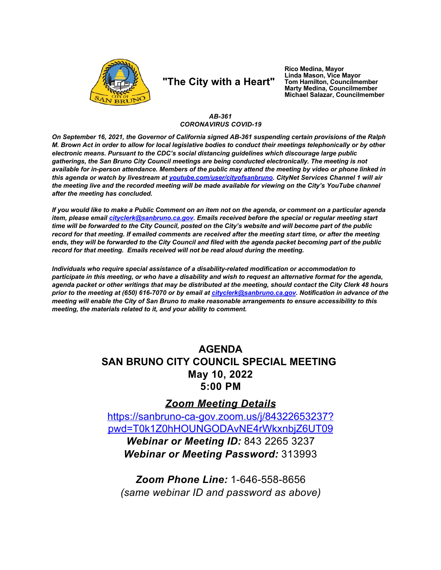

# "The City with a Heart"

Rico Medina, Mayor Linda Mason, Vice Mayor Tom Hamilton, Councilmember **Marty Medina, Councilmember** Michael Salazar, Councilmember

#### AB-361 **CORONAVIRUS COVID-19**

On September 16, 2021, the Governor of California signed AB-361 suspending certain provisions of the Ralph M. Brown Act in order to allow for local legislative bodies to conduct their meetings telephonically or by other electronic means. Pursuant to the CDC's social distancing guidelines which discourage large public gatherings, the San Bruno City Council meetings are being conducted electronically. The meeting is not available for in-person attendance. Members of the public may attend the meeting by video or phone linked in this agenda or watch by livestream at voutube.com/user/cityofsanbruno. CityNet Services Channel 1 will air the meeting live and the recorded meeting will be made available for viewing on the City's YouTube channel after the meeting has concluded.

If you would like to make a Public Comment on an item not on the agenda, or comment on a particular agenda item, please email cityclerk@sanbruno.ca.gov. Emails received before the special or regular meeting start time will be forwarded to the City Council, posted on the City's website and will become part of the public record for that meeting. If emailed comments are received after the meeting start time, or after the meeting ends, they will be forwarded to the City Council and filed with the agenda packet becoming part of the public record for that meeting. Emails received will not be read aloud during the meeting.

Individuals who require special assistance of a disability-related modification or accommodation to participate in this meeting, or who have a disability and wish to request an alternative format for the agenda, agenda packet or other writings that may be distributed at the meeting, should contact the City Clerk 48 hours prior to the meeting at (650) 616-7070 or by email at cityclerk@sanbruno.ca.gov. Notification in advance of the meeting will enable the City of San Bruno to make reasonable arrangements to ensure accessibility to this meeting, the materials related to it, and your ability to comment.

# **AGENDA SAN BRUNO CITY COUNCIL SPECIAL MEETING** May 10, 2022 5:00 PM

## **Zoom Meeting Details**

https://sanbruno-ca-gov.zoom.us/j/84322653237? pwd=T0k1Z0hHOUNGODAvNE4rWkxnbjZ6UT09 Webinar or Meeting ID: 843 2265 3237 **Webinar or Meeting Password: 313993** 

**Zoom Phone Line: 1-646-558-8656** (same webinar ID and password as above)